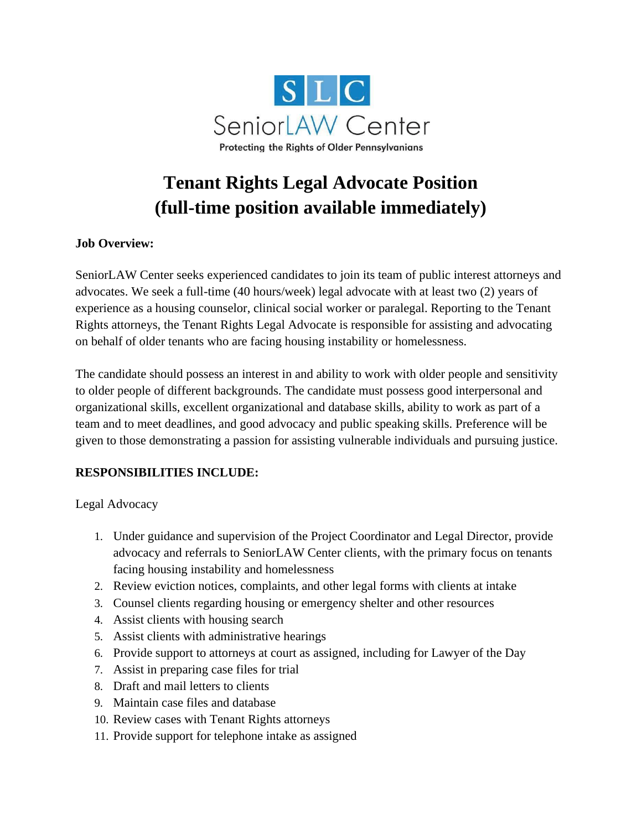

# **Tenant Rights Legal Advocate Position (full-time position available immediately)**

### **Job Overview:**

SeniorLAW Center seeks experienced candidates to join its team of public interest attorneys and advocates. We seek a full-time (40 hours/week) legal advocate with at least two (2) years of experience as a housing counselor, clinical social worker or paralegal. Reporting to the Tenant Rights attorneys, the Tenant Rights Legal Advocate is responsible for assisting and advocating on behalf of older tenants who are facing housing instability or homelessness.

The candidate should possess an interest in and ability to work with older people and sensitivity to older people of different backgrounds. The candidate must possess good interpersonal and organizational skills, excellent organizational and database skills, ability to work as part of a team and to meet deadlines, and good advocacy and public speaking skills. Preference will be given to those demonstrating a passion for assisting vulnerable individuals and pursuing justice.

## **RESPONSIBILITIES INCLUDE:**

Legal Advocacy

- 1. Under guidance and supervision of the Project Coordinator and Legal Director, provide advocacy and referrals to SeniorLAW Center clients, with the primary focus on tenants facing housing instability and homelessness
- 2. Review eviction notices, complaints, and other legal forms with clients at intake
- 3. Counsel clients regarding housing or emergency shelter and other resources
- 4. Assist clients with housing search
- 5. Assist clients with administrative hearings
- 6. Provide support to attorneys at court as assigned, including for Lawyer of the Day
- 7. Assist in preparing case files for trial
- 8. Draft and mail letters to clients
- 9. Maintain case files and database
- 10. Review cases with Tenant Rights attorneys
- 11. Provide support for telephone intake as assigned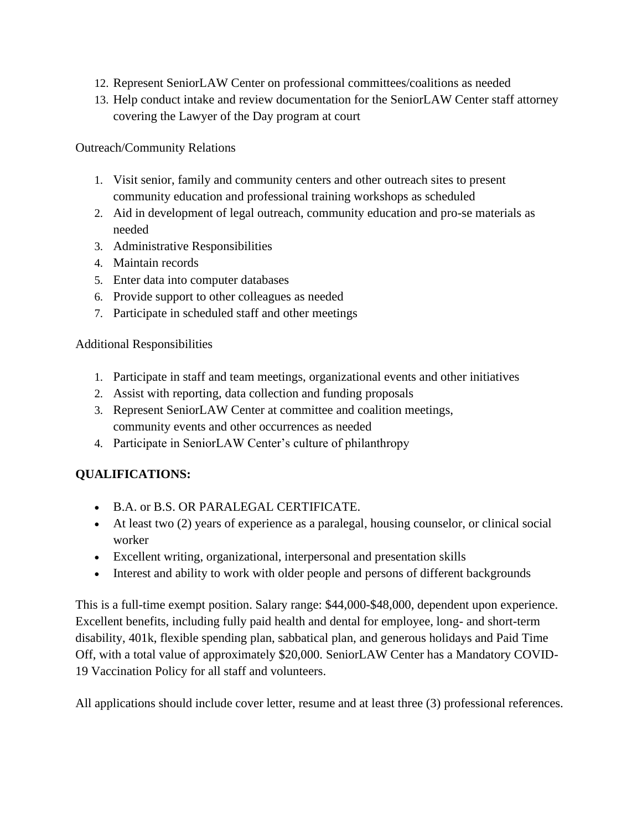- 12. Represent SeniorLAW Center on professional committees/coalitions as needed
- 13. Help conduct intake and review documentation for the SeniorLAW Center staff attorney covering the Lawyer of the Day program at court

Outreach/Community Relations

- 1. Visit senior, family and community centers and other outreach sites to present community education and professional training workshops as scheduled
- 2. Aid in development of legal outreach, community education and pro-se materials as needed
- 3. Administrative Responsibilities
- 4. Maintain records
- 5. Enter data into computer databases
- 6. Provide support to other colleagues as needed
- 7. Participate in scheduled staff and other meetings

### Additional Responsibilities

- 1. Participate in staff and team meetings, organizational events and other initiatives
- 2. Assist with reporting, data collection and funding proposals
- 3. Represent SeniorLAW Center at committee and coalition meetings, community events and other occurrences as needed
- 4. Participate in SeniorLAW Center's culture of philanthropy

# **QUALIFICATIONS:**

- B.A. or B.S. OR PARALEGAL CERTIFICATE.
- At least two (2) years of experience as a paralegal, housing counselor, or clinical social worker
- Excellent writing, organizational, interpersonal and presentation skills
- Interest and ability to work with older people and persons of different backgrounds

This is a full-time exempt position. Salary range: \$44,000-\$48,000, dependent upon experience. Excellent benefits, including fully paid health and dental for employee, long- and short-term disability, 401k, flexible spending plan, sabbatical plan, and generous holidays and Paid Time Off, with a total value of approximately \$20,000. SeniorLAW Center has a Mandatory COVID-19 Vaccination Policy for all staff and volunteers.

All applications should include cover letter, resume and at least three (3) professional references.